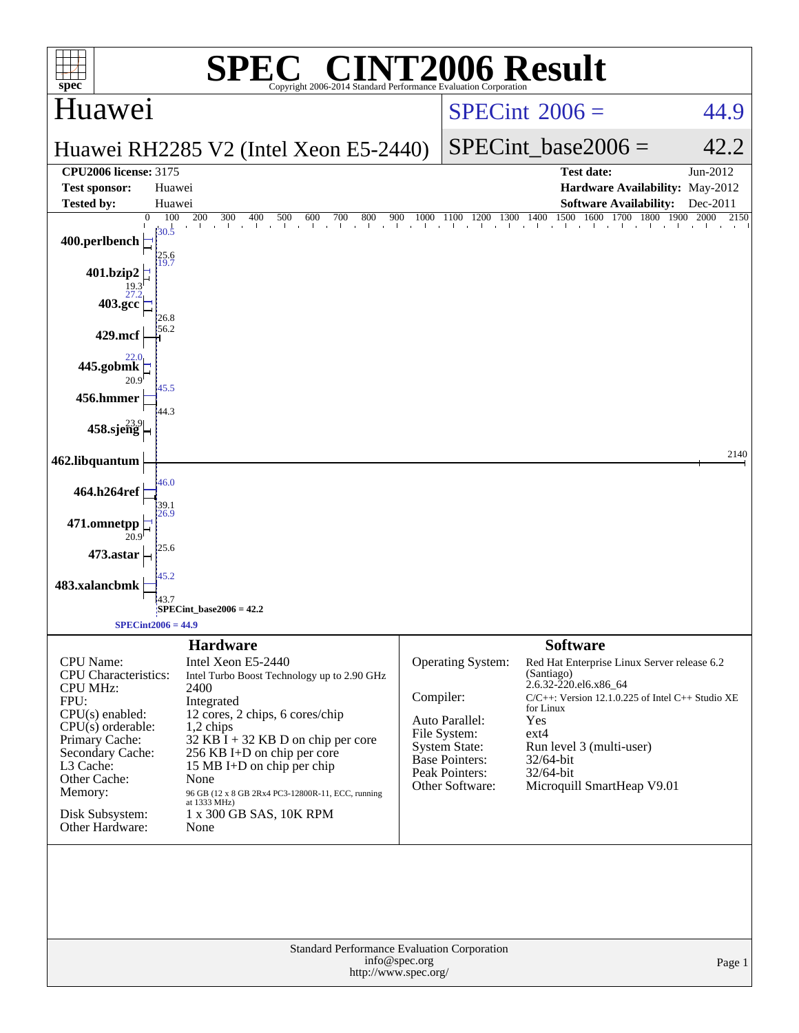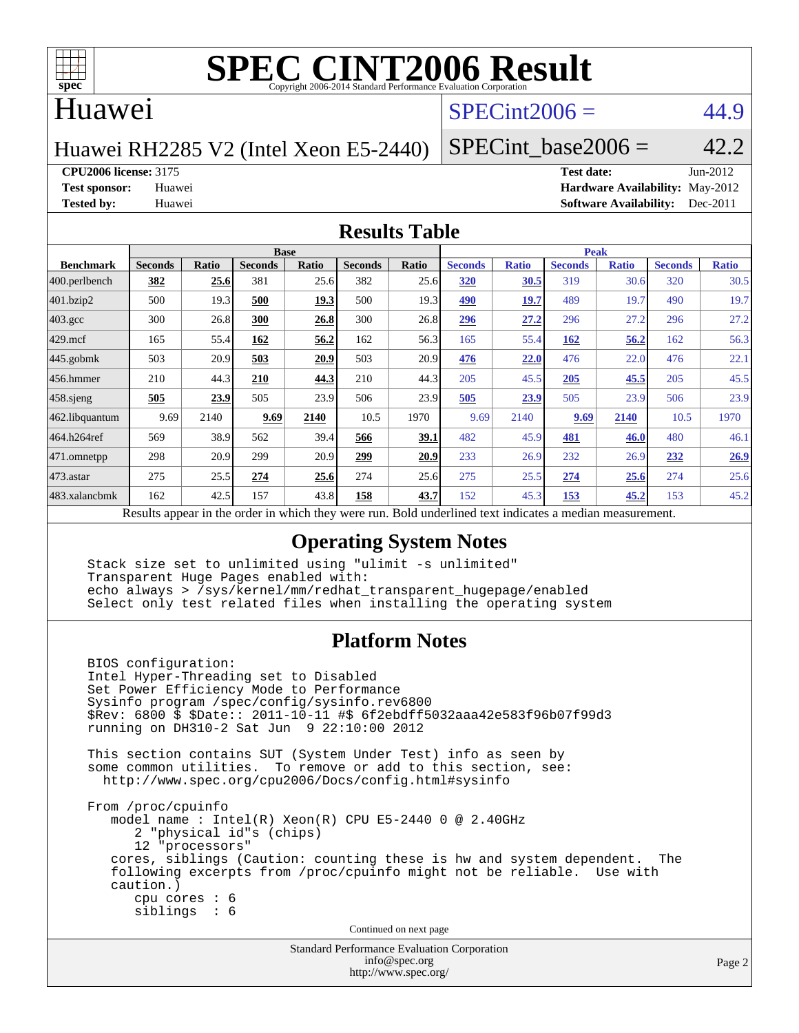

### Huawei

### $SPECint2006 = 44.9$  $SPECint2006 = 44.9$

Huawei RH2285 V2 (Intel Xeon E5-2440)

SPECint base2006 =  $42.2$ 

**[CPU2006 license:](http://www.spec.org/auto/cpu2006/Docs/result-fields.html#CPU2006license)** 3175 **[Test date:](http://www.spec.org/auto/cpu2006/Docs/result-fields.html#Testdate)** Jun-2012

**[Test sponsor:](http://www.spec.org/auto/cpu2006/Docs/result-fields.html#Testsponsor)** Huawei **[Hardware Availability:](http://www.spec.org/auto/cpu2006/Docs/result-fields.html#HardwareAvailability)** May-2012 **[Tested by:](http://www.spec.org/auto/cpu2006/Docs/result-fields.html#Testedby)** Huawei **[Software Availability:](http://www.spec.org/auto/cpu2006/Docs/result-fields.html#SoftwareAvailability)** Dec-2011

### **[Results Table](http://www.spec.org/auto/cpu2006/Docs/result-fields.html#ResultsTable)**

|                                                                                                                | <b>Base</b>    |       |                |       |                |       | <b>Peak</b>    |              |                |              |                |              |  |
|----------------------------------------------------------------------------------------------------------------|----------------|-------|----------------|-------|----------------|-------|----------------|--------------|----------------|--------------|----------------|--------------|--|
| <b>Benchmark</b>                                                                                               | <b>Seconds</b> | Ratio | <b>Seconds</b> | Ratio | <b>Seconds</b> | Ratio | <b>Seconds</b> | <b>Ratio</b> | <b>Seconds</b> | <b>Ratio</b> | <b>Seconds</b> | <b>Ratio</b> |  |
| $ 400.\text{perlbench}$                                                                                        | 382            | 25.6  | 381            | 25.6  | 382            | 25.6  | 320            | <b>30.5</b>  | 319            | 30.6         | 320            | 30.5         |  |
| 401.bzip2                                                                                                      | 500            | 19.3  | 500            | 19.3  | 500            | 19.3  | 490            | 19.7         | 489            | 19.7         | 490            | 19.7         |  |
| $403.\text{gcc}$                                                                                               | 300            | 26.8  | 300            | 26.8  | 300            | 26.8  | 296            | 27.2         | 296            | 27.2         | 296            | 27.2         |  |
| $429$ .mcf                                                                                                     | 165            | 55.4  | 162            | 56.2  | 162            | 56.3  | 165            | 55.4         | 162            | 56.2         | 162            | 56.3         |  |
| $445$ .gobmk                                                                                                   | 503            | 20.9  | 503            | 20.9  | 503            | 20.9  | 476            | 22.0         | 476            | 22.0         | 476            | 22.1         |  |
| $456.$ hmmer                                                                                                   | 210            | 44.3  | 210            | 44.3  | 210            | 44.3  | 205            | 45.5         | 205            | 45.5         | 205            | 45.5         |  |
| $458$ .sjeng                                                                                                   | <u>505</u>     | 23.9  | 505            | 23.9  | 506            | 23.9  | 505            | 23.9         | 505            | 23.9         | 506            | 23.9         |  |
| 462.libquantum                                                                                                 | 9.69           | 2140  | 9.69           | 2140  | 10.5           | 1970  | 9.69           | 2140         | 9.69           | 2140         | 10.5           | 1970         |  |
| 464.h264ref                                                                                                    | 569            | 38.9  | 562            | 39.4  | 566            | 39.1  | 482            | 45.9         | 481            | 46.0         | 480            | 46.1         |  |
| 471.omnetpp                                                                                                    | 298            | 20.9  | 299            | 20.9  | 299            | 20.9  | 233            | 26.9         | 232            | 26.9         | 232            | 26.9         |  |
| 473.astar                                                                                                      | 275            | 25.5  | 274            | 25.6  | 274            | 25.6  | 275            | 25.5         | 274            | 25.6         | 274            | 25.6         |  |
| 483.xalancbmk                                                                                                  | 162            | 42.5  | 157            | 43.8  | 158            | 43.7  | 152            | 45.3         | 153            | 45.2         | 153            | 45.2         |  |
| Described and can be the condentry ordered theory occurs more<br>Deld and called to almost indicates a madison |                |       |                |       |                |       |                |              |                |              |                |              |  |

Results appear in the [order in which they were run.](http://www.spec.org/auto/cpu2006/Docs/result-fields.html#RunOrder) Bold underlined text [indicates a median measurement.](http://www.spec.org/auto/cpu2006/Docs/result-fields.html#Median)

### **[Operating System Notes](http://www.spec.org/auto/cpu2006/Docs/result-fields.html#OperatingSystemNotes)**

 Stack size set to unlimited using "ulimit -s unlimited" Transparent Huge Pages enabled with: echo always > /sys/kernel/mm/redhat\_transparent\_hugepage/enabled Select only test related files when installing the operating system

### **[Platform Notes](http://www.spec.org/auto/cpu2006/Docs/result-fields.html#PlatformNotes)**

 BIOS configuration: Intel Hyper-Threading set to Disabled Set Power Efficiency Mode to Performance Sysinfo program /spec/config/sysinfo.rev6800 \$Rev: 6800 \$ \$Date:: 2011-10-11 #\$ 6f2ebdff5032aaa42e583f96b07f99d3 running on DH310-2 Sat Jun 9 22:10:00 2012 This section contains SUT (System Under Test) info as seen by some common utilities. To remove or add to this section, see: <http://www.spec.org/cpu2006/Docs/config.html#sysinfo> From /proc/cpuinfo model name : Intel(R) Xeon(R) CPU E5-2440 0 @ 2.40GHz 2 "physical id"s (chips) 12 "processors" cores, siblings (Caution: counting these is hw and system dependent. The following excerpts from /proc/cpuinfo might not be reliable. Use with caution.) cpu cores : 6 siblings : 6 Continued on next page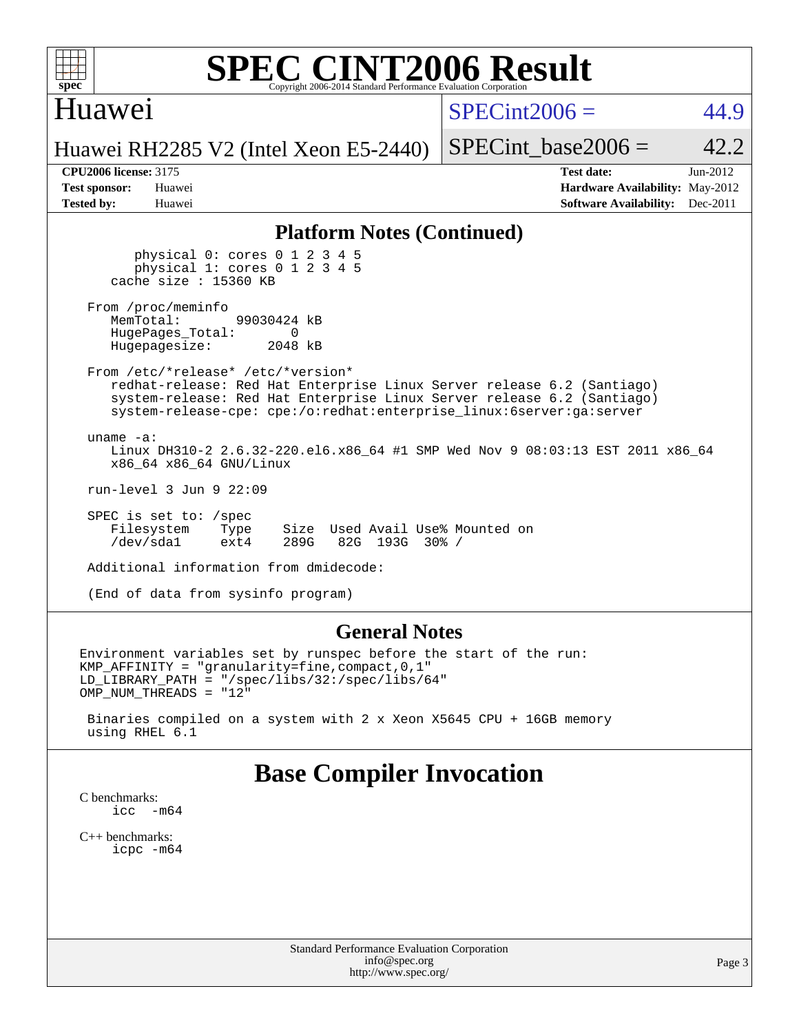

### Huawei

 $SPECint2006 = 44.9$  $SPECint2006 = 44.9$ 

Huawei RH2285 V2 (Intel Xeon E5-2440)

SPECint base2006 =  $42.2$ 

| <b>Test sponsor:</b> | Huawei |
|----------------------|--------|
| <b>Tested by:</b>    | Huawei |

**[CPU2006 license:](http://www.spec.org/auto/cpu2006/Docs/result-fields.html#CPU2006license)** 3175 **[Test date:](http://www.spec.org/auto/cpu2006/Docs/result-fields.html#Testdate)** Jun-2012 **[Hardware Availability:](http://www.spec.org/auto/cpu2006/Docs/result-fields.html#HardwareAvailability)** May-2012 **[Software Availability:](http://www.spec.org/auto/cpu2006/Docs/result-fields.html#SoftwareAvailability)** Dec-2011

### **[Platform Notes \(Continued\)](http://www.spec.org/auto/cpu2006/Docs/result-fields.html#PlatformNotes)**

 physical 0: cores 0 1 2 3 4 5 physical 1: cores 0 1 2 3 4 5 cache size : 15360 KB

From /proc/meminfo<br>MemTotal: 99030424 kB HugePages\_Total: 0<br>Hugepagesize: 2048 kB Hugepagesize:

 From /etc/\*release\* /etc/\*version\* redhat-release: Red Hat Enterprise Linux Server release 6.2 (Santiago) system-release: Red Hat Enterprise Linux Server release 6.2 (Santiago) system-release-cpe: cpe:/o:redhat:enterprise\_linux:6server:ga:server

 uname -a: Linux DH310-2 2.6.32-220.el6.x86\_64 #1 SMP Wed Nov 9 08:03:13 EST 2011 x86\_64 x86\_64 x86\_64 GNU/Linux

run-level 3 Jun 9 22:09

 SPEC is set to: /spec Filesystem Type Size Used Avail Use% Mounted on<br>
/dev/sda1 ext4 289G 82G 193G 30% / /dev/sda1 ext4 289G 82G 193G 30% /

Additional information from dmidecode:

(End of data from sysinfo program)

### **[General Notes](http://www.spec.org/auto/cpu2006/Docs/result-fields.html#GeneralNotes)**

Environment variables set by runspec before the start of the run: KMP\_AFFINITY = "granularity=fine,compact,0,1" LD\_LIBRARY\_PATH = "/spec/libs/32:/spec/libs/64" OMP\_NUM\_THREADS = "12"

 Binaries compiled on a system with 2 x Xeon X5645 CPU + 16GB memory using RHEL 6.1

### **[Base Compiler Invocation](http://www.spec.org/auto/cpu2006/Docs/result-fields.html#BaseCompilerInvocation)**

[C benchmarks](http://www.spec.org/auto/cpu2006/Docs/result-fields.html#Cbenchmarks): icc  $-m64$ 

[C++ benchmarks:](http://www.spec.org/auto/cpu2006/Docs/result-fields.html#CXXbenchmarks) [icpc -m64](http://www.spec.org/cpu2006/results/res2012q3/cpu2006-20120628-23246.flags.html#user_CXXbase_intel_icpc_64bit_fc66a5337ce925472a5c54ad6a0de310)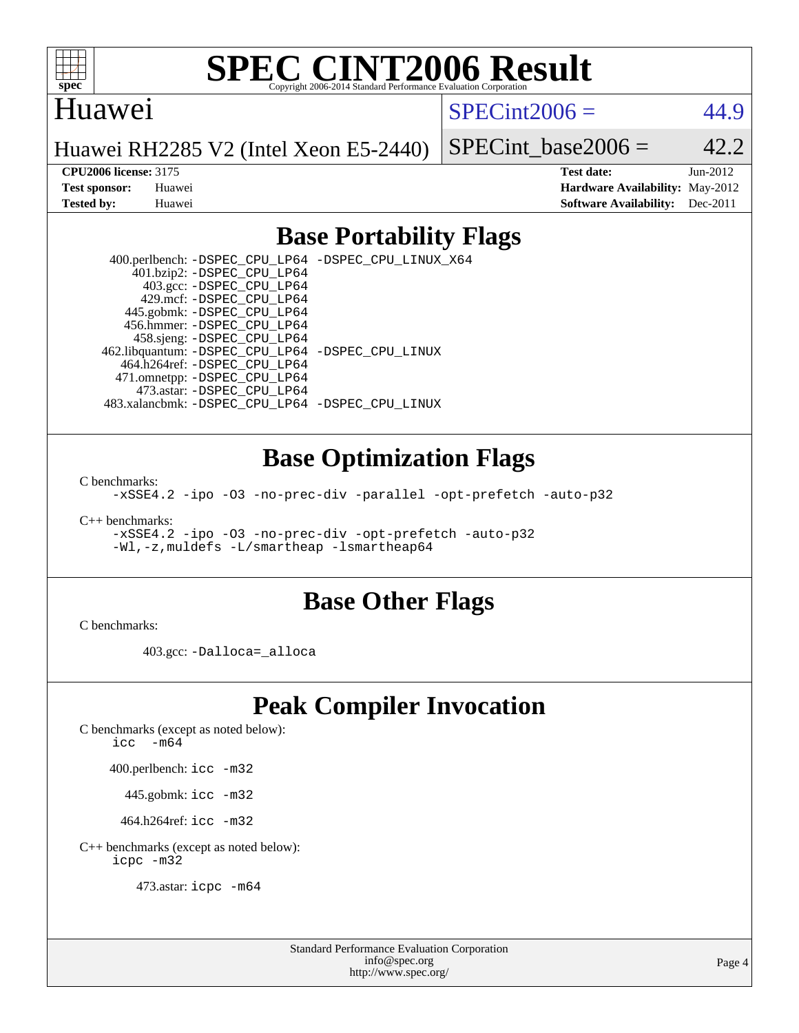

### Huawei

 $SPECint2006 = 44.9$  $SPECint2006 = 44.9$ 

Huawei RH2285 V2 (Intel Xeon E5-2440)

SPECint base2006 =  $42.2$ 

**[CPU2006 license:](http://www.spec.org/auto/cpu2006/Docs/result-fields.html#CPU2006license)** 3175 **[Test date:](http://www.spec.org/auto/cpu2006/Docs/result-fields.html#Testdate)** Jun-2012 **[Test sponsor:](http://www.spec.org/auto/cpu2006/Docs/result-fields.html#Testsponsor)** Huawei **[Hardware Availability:](http://www.spec.org/auto/cpu2006/Docs/result-fields.html#HardwareAvailability)** May-2012 **[Tested by:](http://www.spec.org/auto/cpu2006/Docs/result-fields.html#Testedby)** Huawei **[Software Availability:](http://www.spec.org/auto/cpu2006/Docs/result-fields.html#SoftwareAvailability)** Dec-2011

### **[Base Portability Flags](http://www.spec.org/auto/cpu2006/Docs/result-fields.html#BasePortabilityFlags)**

 400.perlbench: [-DSPEC\\_CPU\\_LP64](http://www.spec.org/cpu2006/results/res2012q3/cpu2006-20120628-23246.flags.html#b400.perlbench_basePORTABILITY_DSPEC_CPU_LP64) [-DSPEC\\_CPU\\_LINUX\\_X64](http://www.spec.org/cpu2006/results/res2012q3/cpu2006-20120628-23246.flags.html#b400.perlbench_baseCPORTABILITY_DSPEC_CPU_LINUX_X64) 401.bzip2: [-DSPEC\\_CPU\\_LP64](http://www.spec.org/cpu2006/results/res2012q3/cpu2006-20120628-23246.flags.html#suite_basePORTABILITY401_bzip2_DSPEC_CPU_LP64) 403.gcc: [-DSPEC\\_CPU\\_LP64](http://www.spec.org/cpu2006/results/res2012q3/cpu2006-20120628-23246.flags.html#suite_basePORTABILITY403_gcc_DSPEC_CPU_LP64) 429.mcf: [-DSPEC\\_CPU\\_LP64](http://www.spec.org/cpu2006/results/res2012q3/cpu2006-20120628-23246.flags.html#suite_basePORTABILITY429_mcf_DSPEC_CPU_LP64) 445.gobmk: [-DSPEC\\_CPU\\_LP64](http://www.spec.org/cpu2006/results/res2012q3/cpu2006-20120628-23246.flags.html#suite_basePORTABILITY445_gobmk_DSPEC_CPU_LP64) 456.hmmer: [-DSPEC\\_CPU\\_LP64](http://www.spec.org/cpu2006/results/res2012q3/cpu2006-20120628-23246.flags.html#suite_basePORTABILITY456_hmmer_DSPEC_CPU_LP64) 458.sjeng: [-DSPEC\\_CPU\\_LP64](http://www.spec.org/cpu2006/results/res2012q3/cpu2006-20120628-23246.flags.html#suite_basePORTABILITY458_sjeng_DSPEC_CPU_LP64) 462.libquantum: [-DSPEC\\_CPU\\_LP64](http://www.spec.org/cpu2006/results/res2012q3/cpu2006-20120628-23246.flags.html#suite_basePORTABILITY462_libquantum_DSPEC_CPU_LP64) [-DSPEC\\_CPU\\_LINUX](http://www.spec.org/cpu2006/results/res2012q3/cpu2006-20120628-23246.flags.html#b462.libquantum_baseCPORTABILITY_DSPEC_CPU_LINUX) 464.h264ref: [-DSPEC\\_CPU\\_LP64](http://www.spec.org/cpu2006/results/res2012q3/cpu2006-20120628-23246.flags.html#suite_basePORTABILITY464_h264ref_DSPEC_CPU_LP64) 471.omnetpp: [-DSPEC\\_CPU\\_LP64](http://www.spec.org/cpu2006/results/res2012q3/cpu2006-20120628-23246.flags.html#suite_basePORTABILITY471_omnetpp_DSPEC_CPU_LP64) 473.astar: [-DSPEC\\_CPU\\_LP64](http://www.spec.org/cpu2006/results/res2012q3/cpu2006-20120628-23246.flags.html#suite_basePORTABILITY473_astar_DSPEC_CPU_LP64) 483.xalancbmk: [-DSPEC\\_CPU\\_LP64](http://www.spec.org/cpu2006/results/res2012q3/cpu2006-20120628-23246.flags.html#suite_basePORTABILITY483_xalancbmk_DSPEC_CPU_LP64) [-DSPEC\\_CPU\\_LINUX](http://www.spec.org/cpu2006/results/res2012q3/cpu2006-20120628-23246.flags.html#b483.xalancbmk_baseCXXPORTABILITY_DSPEC_CPU_LINUX)

### **[Base Optimization Flags](http://www.spec.org/auto/cpu2006/Docs/result-fields.html#BaseOptimizationFlags)**

[C benchmarks](http://www.spec.org/auto/cpu2006/Docs/result-fields.html#Cbenchmarks):

[-xSSE4.2](http://www.spec.org/cpu2006/results/res2012q3/cpu2006-20120628-23246.flags.html#user_CCbase_f-xSSE42_f91528193cf0b216347adb8b939d4107) [-ipo](http://www.spec.org/cpu2006/results/res2012q3/cpu2006-20120628-23246.flags.html#user_CCbase_f-ipo) [-O3](http://www.spec.org/cpu2006/results/res2012q3/cpu2006-20120628-23246.flags.html#user_CCbase_f-O3) [-no-prec-div](http://www.spec.org/cpu2006/results/res2012q3/cpu2006-20120628-23246.flags.html#user_CCbase_f-no-prec-div) [-parallel](http://www.spec.org/cpu2006/results/res2012q3/cpu2006-20120628-23246.flags.html#user_CCbase_f-parallel) [-opt-prefetch](http://www.spec.org/cpu2006/results/res2012q3/cpu2006-20120628-23246.flags.html#user_CCbase_f-opt-prefetch) [-auto-p32](http://www.spec.org/cpu2006/results/res2012q3/cpu2006-20120628-23246.flags.html#user_CCbase_f-auto-p32)

[C++ benchmarks:](http://www.spec.org/auto/cpu2006/Docs/result-fields.html#CXXbenchmarks)

[-xSSE4.2](http://www.spec.org/cpu2006/results/res2012q3/cpu2006-20120628-23246.flags.html#user_CXXbase_f-xSSE42_f91528193cf0b216347adb8b939d4107) [-ipo](http://www.spec.org/cpu2006/results/res2012q3/cpu2006-20120628-23246.flags.html#user_CXXbase_f-ipo) [-O3](http://www.spec.org/cpu2006/results/res2012q3/cpu2006-20120628-23246.flags.html#user_CXXbase_f-O3) [-no-prec-div](http://www.spec.org/cpu2006/results/res2012q3/cpu2006-20120628-23246.flags.html#user_CXXbase_f-no-prec-div) [-opt-prefetch](http://www.spec.org/cpu2006/results/res2012q3/cpu2006-20120628-23246.flags.html#user_CXXbase_f-opt-prefetch) [-auto-p32](http://www.spec.org/cpu2006/results/res2012q3/cpu2006-20120628-23246.flags.html#user_CXXbase_f-auto-p32) [-Wl,-z,muldefs](http://www.spec.org/cpu2006/results/res2012q3/cpu2006-20120628-23246.flags.html#user_CXXbase_link_force_multiple1_74079c344b956b9658436fd1b6dd3a8a) [-L/smartheap -lsmartheap64](http://www.spec.org/cpu2006/results/res2012q3/cpu2006-20120628-23246.flags.html#user_CXXbase_SmartHeap64_5e654037dadeae1fe403ab4b4466e60b)

### **[Base Other Flags](http://www.spec.org/auto/cpu2006/Docs/result-fields.html#BaseOtherFlags)**

[C benchmarks](http://www.spec.org/auto/cpu2006/Docs/result-fields.html#Cbenchmarks):

403.gcc: [-Dalloca=\\_alloca](http://www.spec.org/cpu2006/results/res2012q3/cpu2006-20120628-23246.flags.html#b403.gcc_baseEXTRA_CFLAGS_Dalloca_be3056838c12de2578596ca5467af7f3)

## **[Peak Compiler Invocation](http://www.spec.org/auto/cpu2006/Docs/result-fields.html#PeakCompilerInvocation)**

[C benchmarks \(except as noted below\)](http://www.spec.org/auto/cpu2006/Docs/result-fields.html#Cbenchmarksexceptasnotedbelow):

icc  $-m64$ 

400.perlbench: [icc -m32](http://www.spec.org/cpu2006/results/res2012q3/cpu2006-20120628-23246.flags.html#user_peakCCLD400_perlbench_intel_icc_a6a621f8d50482236b970c6ac5f55f93)

445.gobmk: [icc -m32](http://www.spec.org/cpu2006/results/res2012q3/cpu2006-20120628-23246.flags.html#user_peakCCLD445_gobmk_intel_icc_a6a621f8d50482236b970c6ac5f55f93)

464.h264ref: [icc -m32](http://www.spec.org/cpu2006/results/res2012q3/cpu2006-20120628-23246.flags.html#user_peakCCLD464_h264ref_intel_icc_a6a621f8d50482236b970c6ac5f55f93)

[C++ benchmarks \(except as noted below\):](http://www.spec.org/auto/cpu2006/Docs/result-fields.html#CXXbenchmarksexceptasnotedbelow) [icpc -m32](http://www.spec.org/cpu2006/results/res2012q3/cpu2006-20120628-23246.flags.html#user_CXXpeak_intel_icpc_4e5a5ef1a53fd332b3c49e69c3330699)

473.astar: [icpc -m64](http://www.spec.org/cpu2006/results/res2012q3/cpu2006-20120628-23246.flags.html#user_peakCXXLD473_astar_intel_icpc_64bit_fc66a5337ce925472a5c54ad6a0de310)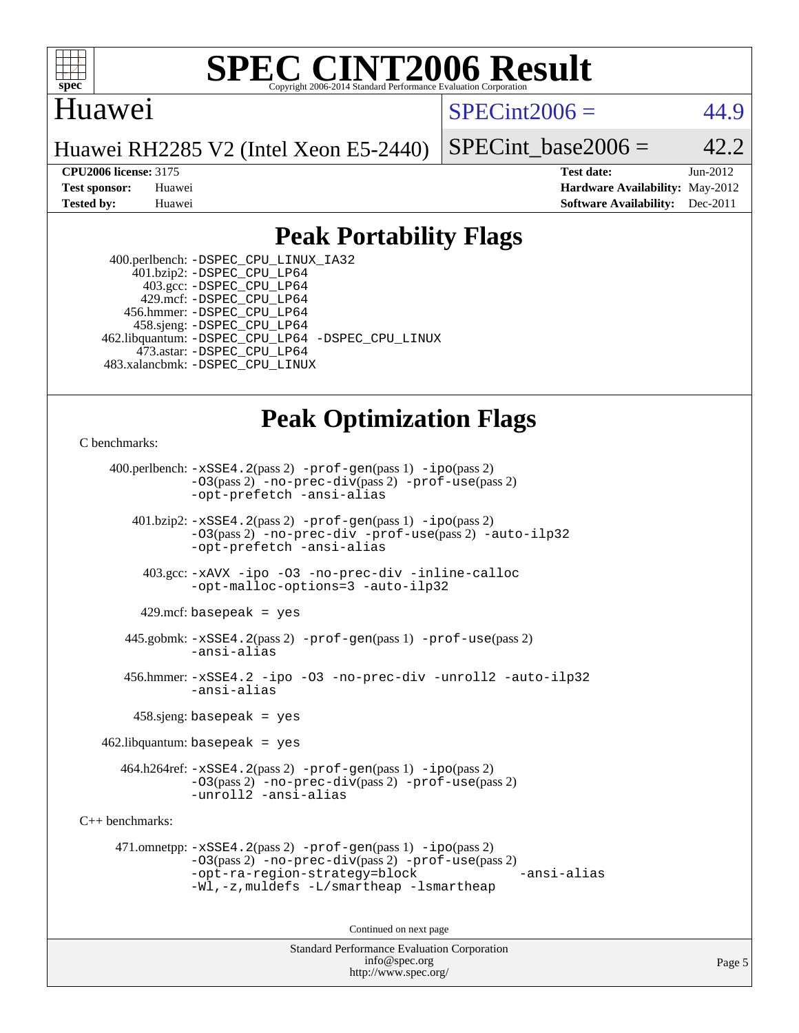

### Huawei

 $SPECint2006 = 44.9$  $SPECint2006 = 44.9$ 

Huawei RH2285 V2 (Intel Xeon E5-2440)

SPECint base2006 =  $42.2$ 

**[CPU2006 license:](http://www.spec.org/auto/cpu2006/Docs/result-fields.html#CPU2006license)** 3175 **[Test date:](http://www.spec.org/auto/cpu2006/Docs/result-fields.html#Testdate)** Jun-2012 **[Test sponsor:](http://www.spec.org/auto/cpu2006/Docs/result-fields.html#Testsponsor)** Huawei **[Hardware Availability:](http://www.spec.org/auto/cpu2006/Docs/result-fields.html#HardwareAvailability)** May-2012 **[Tested by:](http://www.spec.org/auto/cpu2006/Docs/result-fields.html#Testedby)** Huawei **[Software Availability:](http://www.spec.org/auto/cpu2006/Docs/result-fields.html#SoftwareAvailability)** Dec-2011

## **[Peak Portability Flags](http://www.spec.org/auto/cpu2006/Docs/result-fields.html#PeakPortabilityFlags)**

 400.perlbench: [-DSPEC\\_CPU\\_LINUX\\_IA32](http://www.spec.org/cpu2006/results/res2012q3/cpu2006-20120628-23246.flags.html#b400.perlbench_peakCPORTABILITY_DSPEC_CPU_LINUX_IA32) 401.bzip2: [-DSPEC\\_CPU\\_LP64](http://www.spec.org/cpu2006/results/res2012q3/cpu2006-20120628-23246.flags.html#suite_peakPORTABILITY401_bzip2_DSPEC_CPU_LP64) 403.gcc: [-DSPEC\\_CPU\\_LP64](http://www.spec.org/cpu2006/results/res2012q3/cpu2006-20120628-23246.flags.html#suite_peakPORTABILITY403_gcc_DSPEC_CPU_LP64) 429.mcf: [-DSPEC\\_CPU\\_LP64](http://www.spec.org/cpu2006/results/res2012q3/cpu2006-20120628-23246.flags.html#suite_peakPORTABILITY429_mcf_DSPEC_CPU_LP64) 456.hmmer: [-DSPEC\\_CPU\\_LP64](http://www.spec.org/cpu2006/results/res2012q3/cpu2006-20120628-23246.flags.html#suite_peakPORTABILITY456_hmmer_DSPEC_CPU_LP64) 458.sjeng: [-DSPEC\\_CPU\\_LP64](http://www.spec.org/cpu2006/results/res2012q3/cpu2006-20120628-23246.flags.html#suite_peakPORTABILITY458_sjeng_DSPEC_CPU_LP64) 462.libquantum: [-DSPEC\\_CPU\\_LP64](http://www.spec.org/cpu2006/results/res2012q3/cpu2006-20120628-23246.flags.html#suite_peakPORTABILITY462_libquantum_DSPEC_CPU_LP64) [-DSPEC\\_CPU\\_LINUX](http://www.spec.org/cpu2006/results/res2012q3/cpu2006-20120628-23246.flags.html#b462.libquantum_peakCPORTABILITY_DSPEC_CPU_LINUX) 473.astar: [-DSPEC\\_CPU\\_LP64](http://www.spec.org/cpu2006/results/res2012q3/cpu2006-20120628-23246.flags.html#suite_peakPORTABILITY473_astar_DSPEC_CPU_LP64) 483.xalancbmk: [-DSPEC\\_CPU\\_LINUX](http://www.spec.org/cpu2006/results/res2012q3/cpu2006-20120628-23246.flags.html#b483.xalancbmk_peakCXXPORTABILITY_DSPEC_CPU_LINUX)

## **[Peak Optimization Flags](http://www.spec.org/auto/cpu2006/Docs/result-fields.html#PeakOptimizationFlags)**

[C benchmarks](http://www.spec.org/auto/cpu2006/Docs/result-fields.html#Cbenchmarks):

 400.perlbench: [-xSSE4.2](http://www.spec.org/cpu2006/results/res2012q3/cpu2006-20120628-23246.flags.html#user_peakPASS2_CFLAGSPASS2_LDCFLAGS400_perlbench_f-xSSE42_f91528193cf0b216347adb8b939d4107)(pass 2) [-prof-gen](http://www.spec.org/cpu2006/results/res2012q3/cpu2006-20120628-23246.flags.html#user_peakPASS1_CFLAGSPASS1_LDCFLAGS400_perlbench_prof_gen_e43856698f6ca7b7e442dfd80e94a8fc)(pass 1) [-ipo](http://www.spec.org/cpu2006/results/res2012q3/cpu2006-20120628-23246.flags.html#user_peakPASS2_CFLAGSPASS2_LDCFLAGS400_perlbench_f-ipo)(pass 2) [-O3](http://www.spec.org/cpu2006/results/res2012q3/cpu2006-20120628-23246.flags.html#user_peakPASS2_CFLAGSPASS2_LDCFLAGS400_perlbench_f-O3)(pass 2) [-no-prec-div](http://www.spec.org/cpu2006/results/res2012q3/cpu2006-20120628-23246.flags.html#user_peakPASS2_CFLAGSPASS2_LDCFLAGS400_perlbench_f-no-prec-div)(pass 2) [-prof-use](http://www.spec.org/cpu2006/results/res2012q3/cpu2006-20120628-23246.flags.html#user_peakPASS2_CFLAGSPASS2_LDCFLAGS400_perlbench_prof_use_bccf7792157ff70d64e32fe3e1250b55)(pass 2) [-opt-prefetch](http://www.spec.org/cpu2006/results/res2012q3/cpu2006-20120628-23246.flags.html#user_peakCOPTIMIZE400_perlbench_f-opt-prefetch) [-ansi-alias](http://www.spec.org/cpu2006/results/res2012q3/cpu2006-20120628-23246.flags.html#user_peakCOPTIMIZE400_perlbench_f-ansi-alias) 401.bzip2: [-xSSE4.2](http://www.spec.org/cpu2006/results/res2012q3/cpu2006-20120628-23246.flags.html#user_peakPASS2_CFLAGSPASS2_LDCFLAGS401_bzip2_f-xSSE42_f91528193cf0b216347adb8b939d4107)(pass 2) [-prof-gen](http://www.spec.org/cpu2006/results/res2012q3/cpu2006-20120628-23246.flags.html#user_peakPASS1_CFLAGSPASS1_LDCFLAGS401_bzip2_prof_gen_e43856698f6ca7b7e442dfd80e94a8fc)(pass 1) [-ipo](http://www.spec.org/cpu2006/results/res2012q3/cpu2006-20120628-23246.flags.html#user_peakPASS2_CFLAGSPASS2_LDCFLAGS401_bzip2_f-ipo)(pass 2) [-O3](http://www.spec.org/cpu2006/results/res2012q3/cpu2006-20120628-23246.flags.html#user_peakPASS2_CFLAGSPASS2_LDCFLAGS401_bzip2_f-O3)(pass 2) [-no-prec-div](http://www.spec.org/cpu2006/results/res2012q3/cpu2006-20120628-23246.flags.html#user_peakCOPTIMIZEPASS2_CFLAGSPASS2_LDCFLAGS401_bzip2_f-no-prec-div) [-prof-use](http://www.spec.org/cpu2006/results/res2012q3/cpu2006-20120628-23246.flags.html#user_peakPASS2_CFLAGSPASS2_LDCFLAGS401_bzip2_prof_use_bccf7792157ff70d64e32fe3e1250b55)(pass 2) [-auto-ilp32](http://www.spec.org/cpu2006/results/res2012q3/cpu2006-20120628-23246.flags.html#user_peakCOPTIMIZE401_bzip2_f-auto-ilp32) [-opt-prefetch](http://www.spec.org/cpu2006/results/res2012q3/cpu2006-20120628-23246.flags.html#user_peakCOPTIMIZE401_bzip2_f-opt-prefetch) [-ansi-alias](http://www.spec.org/cpu2006/results/res2012q3/cpu2006-20120628-23246.flags.html#user_peakCOPTIMIZE401_bzip2_f-ansi-alias) 403.gcc: [-xAVX](http://www.spec.org/cpu2006/results/res2012q3/cpu2006-20120628-23246.flags.html#user_peakCOPTIMIZE403_gcc_f-xAVX) [-ipo](http://www.spec.org/cpu2006/results/res2012q3/cpu2006-20120628-23246.flags.html#user_peakCOPTIMIZE403_gcc_f-ipo) [-O3](http://www.spec.org/cpu2006/results/res2012q3/cpu2006-20120628-23246.flags.html#user_peakCOPTIMIZE403_gcc_f-O3) [-no-prec-div](http://www.spec.org/cpu2006/results/res2012q3/cpu2006-20120628-23246.flags.html#user_peakCOPTIMIZE403_gcc_f-no-prec-div) [-inline-calloc](http://www.spec.org/cpu2006/results/res2012q3/cpu2006-20120628-23246.flags.html#user_peakCOPTIMIZE403_gcc_f-inline-calloc) [-opt-malloc-options=3](http://www.spec.org/cpu2006/results/res2012q3/cpu2006-20120628-23246.flags.html#user_peakCOPTIMIZE403_gcc_f-opt-malloc-options_13ab9b803cf986b4ee62f0a5998c2238) [-auto-ilp32](http://www.spec.org/cpu2006/results/res2012q3/cpu2006-20120628-23246.flags.html#user_peakCOPTIMIZE403_gcc_f-auto-ilp32)  $429$ .mcf: basepeak = yes 445.gobmk: [-xSSE4.2](http://www.spec.org/cpu2006/results/res2012q3/cpu2006-20120628-23246.flags.html#user_peakPASS2_CFLAGSPASS2_LDCFLAGS445_gobmk_f-xSSE42_f91528193cf0b216347adb8b939d4107)(pass 2) [-prof-gen](http://www.spec.org/cpu2006/results/res2012q3/cpu2006-20120628-23246.flags.html#user_peakPASS1_CFLAGSPASS1_LDCFLAGS445_gobmk_prof_gen_e43856698f6ca7b7e442dfd80e94a8fc)(pass 1) [-prof-use](http://www.spec.org/cpu2006/results/res2012q3/cpu2006-20120628-23246.flags.html#user_peakPASS2_CFLAGSPASS2_LDCFLAGS445_gobmk_prof_use_bccf7792157ff70d64e32fe3e1250b55)(pass 2) [-ansi-alias](http://www.spec.org/cpu2006/results/res2012q3/cpu2006-20120628-23246.flags.html#user_peakCOPTIMIZE445_gobmk_f-ansi-alias) 456.hmmer: [-xSSE4.2](http://www.spec.org/cpu2006/results/res2012q3/cpu2006-20120628-23246.flags.html#user_peakCOPTIMIZE456_hmmer_f-xSSE42_f91528193cf0b216347adb8b939d4107) [-ipo](http://www.spec.org/cpu2006/results/res2012q3/cpu2006-20120628-23246.flags.html#user_peakCOPTIMIZE456_hmmer_f-ipo) [-O3](http://www.spec.org/cpu2006/results/res2012q3/cpu2006-20120628-23246.flags.html#user_peakCOPTIMIZE456_hmmer_f-O3) [-no-prec-div](http://www.spec.org/cpu2006/results/res2012q3/cpu2006-20120628-23246.flags.html#user_peakCOPTIMIZE456_hmmer_f-no-prec-div) [-unroll2](http://www.spec.org/cpu2006/results/res2012q3/cpu2006-20120628-23246.flags.html#user_peakCOPTIMIZE456_hmmer_f-unroll_784dae83bebfb236979b41d2422d7ec2) [-auto-ilp32](http://www.spec.org/cpu2006/results/res2012q3/cpu2006-20120628-23246.flags.html#user_peakCOPTIMIZE456_hmmer_f-auto-ilp32) [-ansi-alias](http://www.spec.org/cpu2006/results/res2012q3/cpu2006-20120628-23246.flags.html#user_peakCOPTIMIZE456_hmmer_f-ansi-alias) 458.sjeng: basepeak = yes  $462$ .libquantum: basepeak = yes 464.h264ref: [-xSSE4.2](http://www.spec.org/cpu2006/results/res2012q3/cpu2006-20120628-23246.flags.html#user_peakPASS2_CFLAGSPASS2_LDCFLAGS464_h264ref_f-xSSE42_f91528193cf0b216347adb8b939d4107)(pass 2) [-prof-gen](http://www.spec.org/cpu2006/results/res2012q3/cpu2006-20120628-23246.flags.html#user_peakPASS1_CFLAGSPASS1_LDCFLAGS464_h264ref_prof_gen_e43856698f6ca7b7e442dfd80e94a8fc)(pass 1) [-ipo](http://www.spec.org/cpu2006/results/res2012q3/cpu2006-20120628-23246.flags.html#user_peakPASS2_CFLAGSPASS2_LDCFLAGS464_h264ref_f-ipo)(pass 2) [-O3](http://www.spec.org/cpu2006/results/res2012q3/cpu2006-20120628-23246.flags.html#user_peakPASS2_CFLAGSPASS2_LDCFLAGS464_h264ref_f-O3)(pass 2) [-no-prec-div](http://www.spec.org/cpu2006/results/res2012q3/cpu2006-20120628-23246.flags.html#user_peakPASS2_CFLAGSPASS2_LDCFLAGS464_h264ref_f-no-prec-div)(pass 2) [-prof-use](http://www.spec.org/cpu2006/results/res2012q3/cpu2006-20120628-23246.flags.html#user_peakPASS2_CFLAGSPASS2_LDCFLAGS464_h264ref_prof_use_bccf7792157ff70d64e32fe3e1250b55)(pass 2) [-unroll2](http://www.spec.org/cpu2006/results/res2012q3/cpu2006-20120628-23246.flags.html#user_peakCOPTIMIZE464_h264ref_f-unroll_784dae83bebfb236979b41d2422d7ec2) [-ansi-alias](http://www.spec.org/cpu2006/results/res2012q3/cpu2006-20120628-23246.flags.html#user_peakCOPTIMIZE464_h264ref_f-ansi-alias) [C++ benchmarks:](http://www.spec.org/auto/cpu2006/Docs/result-fields.html#CXXbenchmarks) 471.omnetpp: [-xSSE4.2](http://www.spec.org/cpu2006/results/res2012q3/cpu2006-20120628-23246.flags.html#user_peakPASS2_CXXFLAGSPASS2_LDCXXFLAGS471_omnetpp_f-xSSE42_f91528193cf0b216347adb8b939d4107)(pass 2) [-prof-gen](http://www.spec.org/cpu2006/results/res2012q3/cpu2006-20120628-23246.flags.html#user_peakPASS1_CXXFLAGSPASS1_LDCXXFLAGS471_omnetpp_prof_gen_e43856698f6ca7b7e442dfd80e94a8fc)(pass 1) [-ipo](http://www.spec.org/cpu2006/results/res2012q3/cpu2006-20120628-23246.flags.html#user_peakPASS2_CXXFLAGSPASS2_LDCXXFLAGS471_omnetpp_f-ipo)(pass 2) [-O3](http://www.spec.org/cpu2006/results/res2012q3/cpu2006-20120628-23246.flags.html#user_peakPASS2_CXXFLAGSPASS2_LDCXXFLAGS471_omnetpp_f-O3)(pass 2) [-no-prec-div](http://www.spec.org/cpu2006/results/res2012q3/cpu2006-20120628-23246.flags.html#user_peakPASS2_CXXFLAGSPASS2_LDCXXFLAGS471_omnetpp_f-no-prec-div)(pass 2) [-prof-use](http://www.spec.org/cpu2006/results/res2012q3/cpu2006-20120628-23246.flags.html#user_peakPASS2_CXXFLAGSPASS2_LDCXXFLAGS471_omnetpp_prof_use_bccf7792157ff70d64e32fe3e1250b55)(pass 2) [-opt-ra-region-strategy=block](http://www.spec.org/cpu2006/results/res2012q3/cpu2006-20120628-23246.flags.html#user_peakCXXOPTIMIZE471_omnetpp_f-opt-ra-region-strategy_5382940c29ea30302d682fc74bfe0147) [-ansi-alias](http://www.spec.org/cpu2006/results/res2012q3/cpu2006-20120628-23246.flags.html#user_peakCXXOPTIMIZE471_omnetpp_f-ansi-alias) [-Wl,-z,muldefs](http://www.spec.org/cpu2006/results/res2012q3/cpu2006-20120628-23246.flags.html#user_peakEXTRA_LDFLAGS471_omnetpp_link_force_multiple1_74079c344b956b9658436fd1b6dd3a8a) [-L/smartheap -lsmartheap](http://www.spec.org/cpu2006/results/res2012q3/cpu2006-20120628-23246.flags.html#user_peakEXTRA_LIBS471_omnetpp_SmartHeap_7c9e394a5779e1a7fec7c221e123830c) Continued on next page